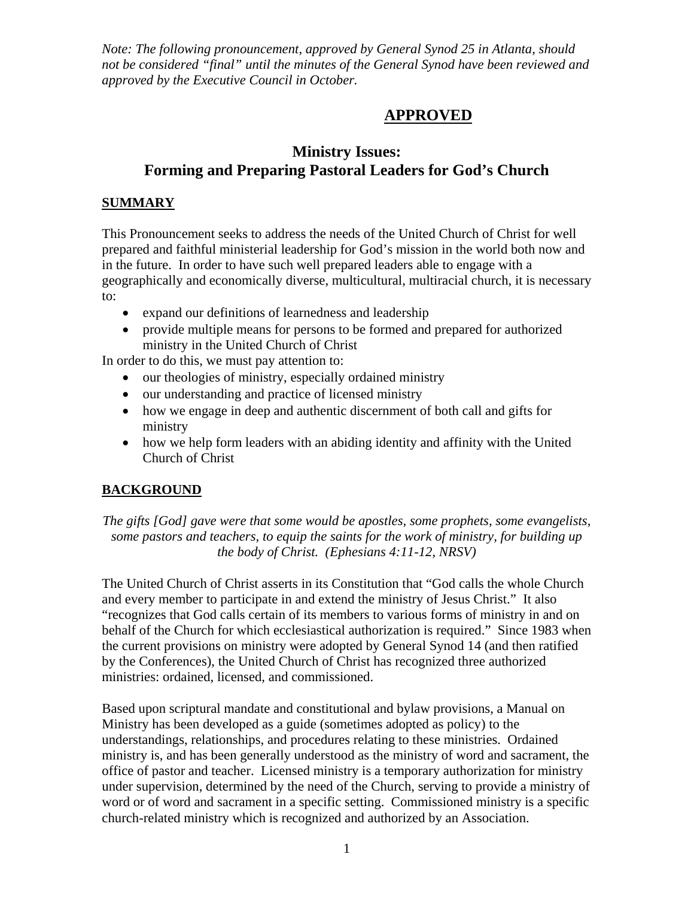*Note: The following pronouncement, approved by General Synod 25 in Atlanta, should not be considered "final" until the minutes of the General Synod have been reviewed and approved by the Executive Council in October.* 

# **APPROVED**

# **Ministry Issues: Forming and Preparing Pastoral Leaders for God's Church**

## **SUMMARY**

This Pronouncement seeks to address the needs of the United Church of Christ for well prepared and faithful ministerial leadership for God's mission in the world both now and in the future. In order to have such well prepared leaders able to engage with a geographically and economically diverse, multicultural, multiracial church, it is necessary to:

- expand our definitions of learnedness and leadership
- provide multiple means for persons to be formed and prepared for authorized ministry in the United Church of Christ

In order to do this, we must pay attention to:

- our theologies of ministry, especially ordained ministry
- our understanding and practice of licensed ministry
- how we engage in deep and authentic discernment of both call and gifts for ministry
- how we help form leaders with an abiding identity and affinity with the United Church of Christ

## **BACKGROUND**

*The gifts [God] gave were that some would be apostles, some prophets, some evangelists, some pastors and teachers, to equip the saints for the work of ministry, for building up the body of Christ. (Ephesians 4:11-12, NRSV)* 

The United Church of Christ asserts in its Constitution that "God calls the whole Church and every member to participate in and extend the ministry of Jesus Christ." It also "recognizes that God calls certain of its members to various forms of ministry in and on behalf of the Church for which ecclesiastical authorization is required." Since 1983 when the current provisions on ministry were adopted by General Synod 14 (and then ratified by the Conferences), the United Church of Christ has recognized three authorized ministries: ordained, licensed, and commissioned.

Based upon scriptural mandate and constitutional and bylaw provisions, a Manual on Ministry has been developed as a guide (sometimes adopted as policy) to the understandings, relationships, and procedures relating to these ministries. Ordained ministry is, and has been generally understood as the ministry of word and sacrament, the office of pastor and teacher. Licensed ministry is a temporary authorization for ministry under supervision, determined by the need of the Church, serving to provide a ministry of word or of word and sacrament in a specific setting. Commissioned ministry is a specific church-related ministry which is recognized and authorized by an Association.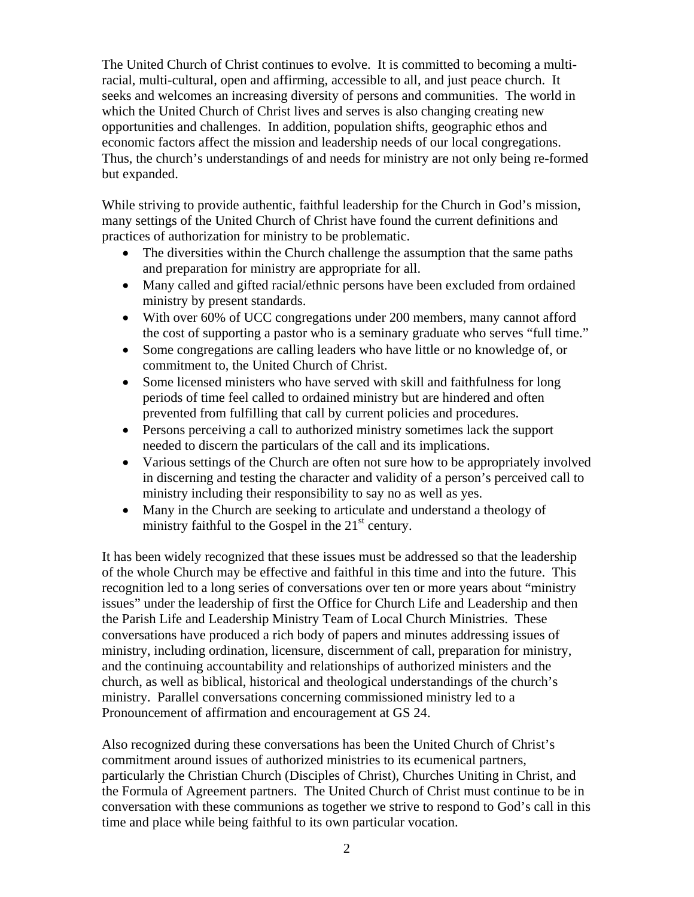The United Church of Christ continues to evolve. It is committed to becoming a multiracial, multi-cultural, open and affirming, accessible to all, and just peace church. It seeks and welcomes an increasing diversity of persons and communities. The world in which the United Church of Christ lives and serves is also changing creating new opportunities and challenges. In addition, population shifts, geographic ethos and economic factors affect the mission and leadership needs of our local congregations. Thus, the church's understandings of and needs for ministry are not only being re-formed but expanded.

While striving to provide authentic, faithful leadership for the Church in God's mission, many settings of the United Church of Christ have found the current definitions and practices of authorization for ministry to be problematic.

- The diversities within the Church challenge the assumption that the same paths and preparation for ministry are appropriate for all.
- Many called and gifted racial/ethnic persons have been excluded from ordained ministry by present standards.
- With over 60% of UCC congregations under 200 members, many cannot afford the cost of supporting a pastor who is a seminary graduate who serves "full time."
- Some congregations are calling leaders who have little or no knowledge of, or commitment to, the United Church of Christ.
- Some licensed ministers who have served with skill and faithfulness for long periods of time feel called to ordained ministry but are hindered and often prevented from fulfilling that call by current policies and procedures.
- Persons perceiving a call to authorized ministry sometimes lack the support needed to discern the particulars of the call and its implications.
- Various settings of the Church are often not sure how to be appropriately involved in discerning and testing the character and validity of a person's perceived call to ministry including their responsibility to say no as well as yes.
- Many in the Church are seeking to articulate and understand a theology of ministry faithful to the Gospel in the  $21<sup>st</sup>$  century.

It has been widely recognized that these issues must be addressed so that the leadership of the whole Church may be effective and faithful in this time and into the future. This recognition led to a long series of conversations over ten or more years about "ministry issues" under the leadership of first the Office for Church Life and Leadership and then the Parish Life and Leadership Ministry Team of Local Church Ministries. These conversations have produced a rich body of papers and minutes addressing issues of ministry, including ordination, licensure, discernment of call, preparation for ministry, and the continuing accountability and relationships of authorized ministers and the church, as well as biblical, historical and theological understandings of the church's ministry. Parallel conversations concerning commissioned ministry led to a Pronouncement of affirmation and encouragement at GS 24.

Also recognized during these conversations has been the United Church of Christ's commitment around issues of authorized ministries to its ecumenical partners, particularly the Christian Church (Disciples of Christ), Churches Uniting in Christ, and the Formula of Agreement partners. The United Church of Christ must continue to be in conversation with these communions as together we strive to respond to God's call in this time and place while being faithful to its own particular vocation.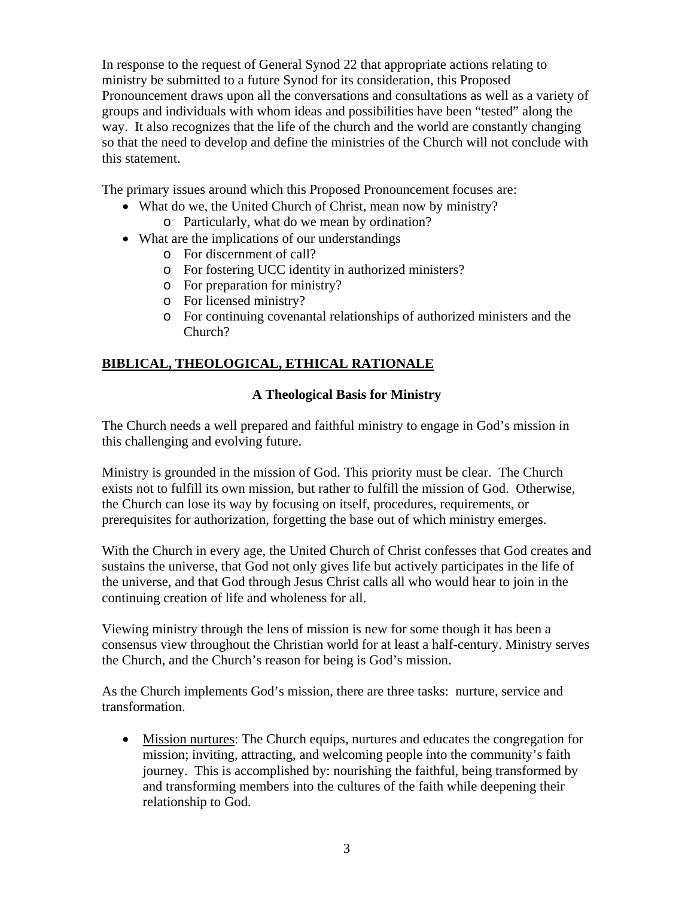In response to the request of General Synod 22 that appropriate actions relating to ministry be submitted to a future Synod for its consideration, this Proposed Pronouncement draws upon all the conversations and consultations as well as a variety of groups and individuals with whom ideas and possibilities have been "tested" along the way. It also recognizes that the life of the church and the world are constantly changing so that the need to develop and define the ministries of the Church will not conclude with this statement.

The primary issues around which this Proposed Pronouncement focuses are:

- What do we, the United Church of Christ, mean now by ministry? o Particularly, what do we mean by ordination?
- What are the implications of our understandings
	- o For discernment of call?
	- o For fostering UCC identity in authorized ministers?
	- o For preparation for ministry?
	- o For licensed ministry?
	- o For continuing covenantal relationships of authorized ministers and the Church?

## **BIBLICAL, THEOLOGICAL, ETHICAL RATIONALE**

## **A Theological Basis for Ministry**

The Church needs a well prepared and faithful ministry to engage in God's mission in this challenging and evolving future.

Ministry is grounded in the mission of God. This priority must be clear. The Church exists not to fulfill its own mission, but rather to fulfill the mission of God. Otherwise, the Church can lose its way by focusing on itself, procedures, requirements, or prerequisites for authorization, forgetting the base out of which ministry emerges.

With the Church in every age, the United Church of Christ confesses that God creates and sustains the universe, that God not only gives life but actively participates in the life of the universe, and that God through Jesus Christ calls all who would hear to join in the continuing creation of life and wholeness for all.

Viewing ministry through the lens of mission is new for some though it has been a consensus view throughout the Christian world for at least a half-century. Ministry serves the Church, and the Church's reason for being is God's mission.

As the Church implements God's mission, there are three tasks: nurture, service and transformation.

• Mission nurtures: The Church equips, nurtures and educates the congregation for mission; inviting, attracting, and welcoming people into the community's faith journey. This is accomplished by: nourishing the faithful, being transformed by and transforming members into the cultures of the faith while deepening their relationship to God.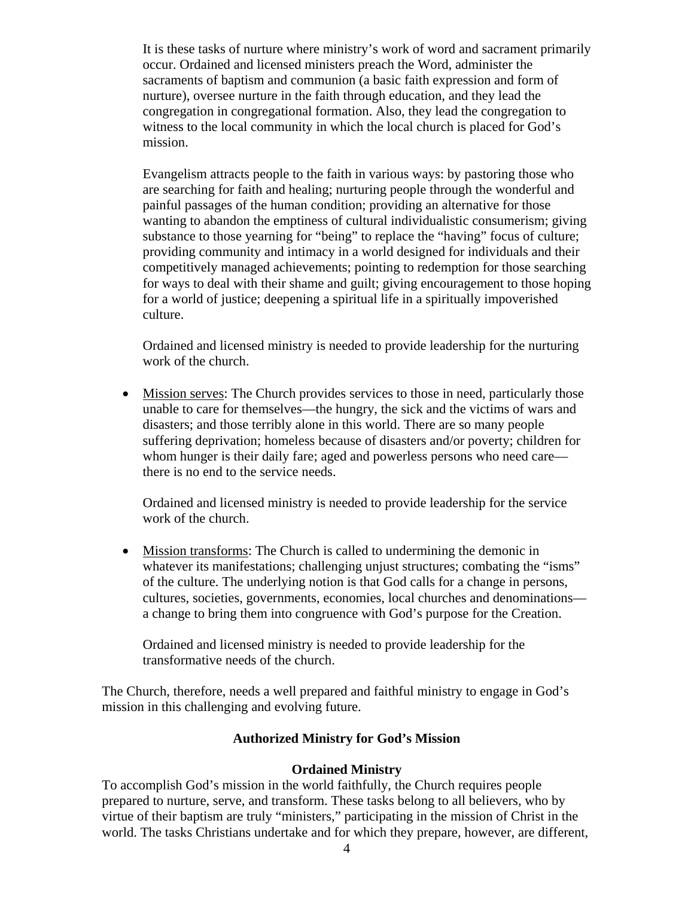It is these tasks of nurture where ministry's work of word and sacrament primarily occur. Ordained and licensed ministers preach the Word, administer the sacraments of baptism and communion (a basic faith expression and form of nurture), oversee nurture in the faith through education, and they lead the congregation in congregational formation. Also, they lead the congregation to witness to the local community in which the local church is placed for God's mission.

Evangelism attracts people to the faith in various ways: by pastoring those who are searching for faith and healing; nurturing people through the wonderful and painful passages of the human condition; providing an alternative for those wanting to abandon the emptiness of cultural individualistic consumerism; giving substance to those yearning for "being" to replace the "having" focus of culture; providing community and intimacy in a world designed for individuals and their competitively managed achievements; pointing to redemption for those searching for ways to deal with their shame and guilt; giving encouragement to those hoping for a world of justice; deepening a spiritual life in a spiritually impoverished culture.

Ordained and licensed ministry is needed to provide leadership for the nurturing work of the church.

• Mission serves: The Church provides services to those in need, particularly those unable to care for themselves—the hungry, the sick and the victims of wars and disasters; and those terribly alone in this world. There are so many people suffering deprivation; homeless because of disasters and/or poverty; children for whom hunger is their daily fare; aged and powerless persons who need care there is no end to the service needs.

Ordained and licensed ministry is needed to provide leadership for the service work of the church.

• Mission transforms: The Church is called to undermining the demonic in whatever its manifestations; challenging unjust structures; combating the "isms" of the culture. The underlying notion is that God calls for a change in persons, cultures, societies, governments, economies, local churches and denominations a change to bring them into congruence with God's purpose for the Creation.

Ordained and licensed ministry is needed to provide leadership for the transformative needs of the church.

The Church, therefore, needs a well prepared and faithful ministry to engage in God's mission in this challenging and evolving future.

### **Authorized Ministry for God's Mission**

#### **Ordained Ministry**

To accomplish God's mission in the world faithfully, the Church requires people prepared to nurture, serve, and transform. These tasks belong to all believers, who by virtue of their baptism are truly "ministers," participating in the mission of Christ in the world. The tasks Christians undertake and for which they prepare, however, are different,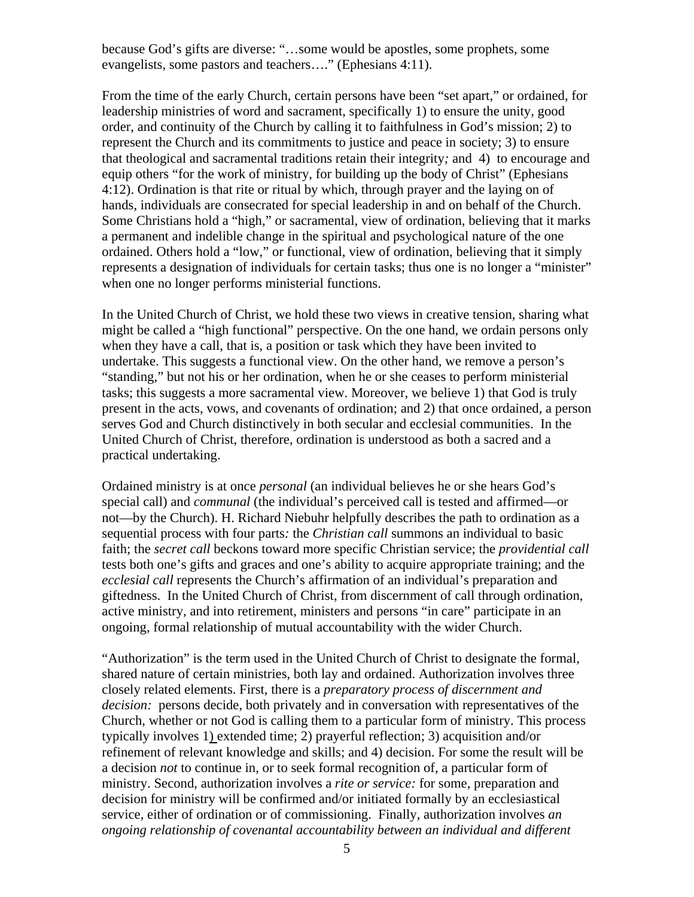because God's gifts are diverse: "…some would be apostles, some prophets, some evangelists, some pastors and teachers…." (Ephesians 4:11).

From the time of the early Church, certain persons have been "set apart," or ordained, for leadership ministries of word and sacrament, specifically 1) to ensure the unity, good order, and continuity of the Church by calling it to faithfulness in God's mission; 2) to represent the Church and its commitments to justice and peace in society; 3) to ensure that theological and sacramental traditions retain their integrity*;* and 4) to encourage and equip others "for the work of ministry, for building up the body of Christ" (Ephesians 4:12). Ordination is that rite or ritual by which, through prayer and the laying on of hands, individuals are consecrated for special leadership in and on behalf of the Church. Some Christians hold a "high," or sacramental, view of ordination, believing that it marks a permanent and indelible change in the spiritual and psychological nature of the one ordained. Others hold a "low," or functional, view of ordination, believing that it simply represents a designation of individuals for certain tasks; thus one is no longer a "minister" when one no longer performs ministerial functions.

In the United Church of Christ, we hold these two views in creative tension, sharing what might be called a "high functional" perspective. On the one hand, we ordain persons only when they have a call, that is, a position or task which they have been invited to undertake. This suggests a functional view. On the other hand, we remove a person's "standing," but not his or her ordination, when he or she ceases to perform ministerial tasks; this suggests a more sacramental view. Moreover, we believe 1) that God is truly present in the acts, vows, and covenants of ordination; and 2) that once ordained, a person serves God and Church distinctively in both secular and ecclesial communities. In the United Church of Christ, therefore, ordination is understood as both a sacred and a practical undertaking.

Ordained ministry is at once *personal* (an individual believes he or she hears God's special call) and *communal* (the individual's perceived call is tested and affirmed—or not—by the Church). H. Richard Niebuhr helpfully describes the path to ordination as a sequential process with four parts*:* the *Christian call* summons an individual to basic faith; the *secret call* beckons toward more specific Christian service; the *providential call* tests both one's gifts and graces and one's ability to acquire appropriate training; and the *ecclesial call* represents the Church's affirmation of an individual's preparation and giftedness. In the United Church of Christ, from discernment of call through ordination, active ministry, and into retirement, ministers and persons "in care" participate in an ongoing, formal relationship of mutual accountability with the wider Church.

"Authorization" is the term used in the United Church of Christ to designate the formal, shared nature of certain ministries, both lay and ordained. Authorization involves three closely related elements. First, there is a *preparatory process of discernment and decision:* persons decide, both privately and in conversation with representatives of the Church, whether or not God is calling them to a particular form of ministry. This process typically involves 1) extended time; 2) prayerful reflection; 3) acquisition and/or refinement of relevant knowledge and skills; and 4) decision. For some the result will be a decision *not* to continue in, or to seek formal recognition of, a particular form of ministry. Second, authorization involves a *rite or service:* for some, preparation and decision for ministry will be confirmed and/or initiated formally by an ecclesiastical service, either of ordination or of commissioning. Finally, authorization involves *an ongoing relationship of covenantal accountability between an individual and different*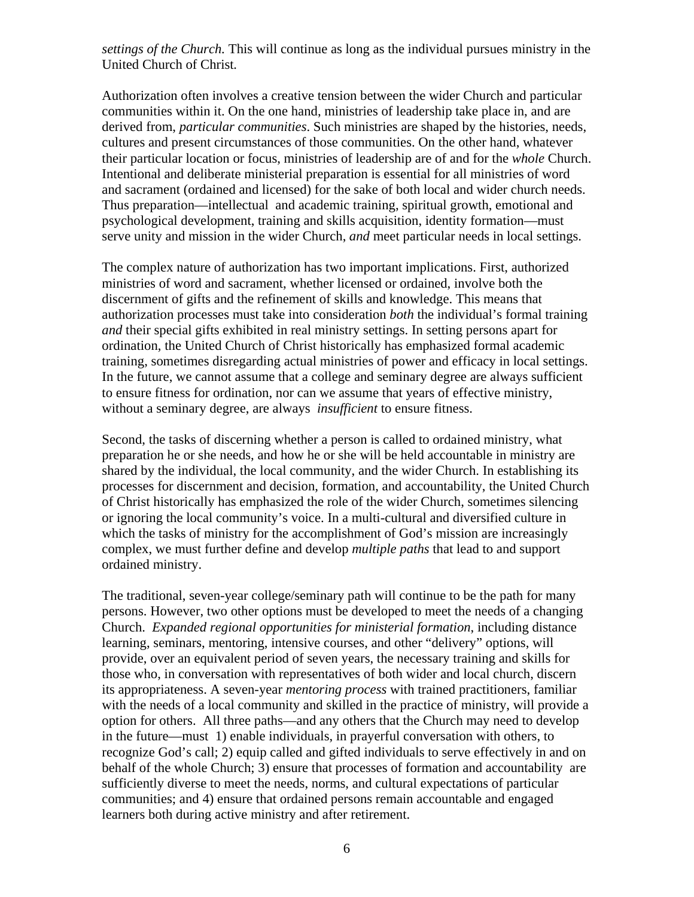*settings of the Church.* This will continue as long as the individual pursues ministry in the United Church of Christ*.* 

Authorization often involves a creative tension between the wider Church and particular communities within it. On the one hand, ministries of leadership take place in, and are derived from, *particular communities*. Such ministries are shaped by the histories, needs, cultures and present circumstances of those communities. On the other hand, whatever their particular location or focus, ministries of leadership are of and for the *whole* Church. Intentional and deliberate ministerial preparation is essential for all ministries of word and sacrament (ordained and licensed) for the sake of both local and wider church needs. Thus preparation—intellectual and academic training, spiritual growth, emotional and psychological development, training and skills acquisition, identity formation—must serve unity and mission in the wider Church, *and* meet particular needs in local settings.

The complex nature of authorization has two important implications. First, authorized ministries of word and sacrament, whether licensed or ordained, involve both the discernment of gifts and the refinement of skills and knowledge. This means that authorization processes must take into consideration *both* the individual's formal training *and* their special gifts exhibited in real ministry settings. In setting persons apart for ordination, the United Church of Christ historically has emphasized formal academic training, sometimes disregarding actual ministries of power and efficacy in local settings. In the future, we cannot assume that a college and seminary degree are always sufficient to ensure fitness for ordination, nor can we assume that years of effective ministry, without a seminary degree, are always *insufficient* to ensure fitness.

Second, the tasks of discerning whether a person is called to ordained ministry, what preparation he or she needs, and how he or she will be held accountable in ministry are shared by the individual, the local community, and the wider Church. In establishing its processes for discernment and decision, formation, and accountability, the United Church of Christ historically has emphasized the role of the wider Church, sometimes silencing or ignoring the local community's voice. In a multi-cultural and diversified culture in which the tasks of ministry for the accomplishment of God's mission are increasingly complex, we must further define and develop *multiple paths* that lead to and support ordained ministry.

The traditional, seven-year college/seminary path will continue to be the path for many persons. However, two other options must be developed to meet the needs of a changing Church. *Expanded regional opportunities for ministerial formation*, including distance learning, seminars, mentoring, intensive courses, and other "delivery" options, will provide, over an equivalent period of seven years, the necessary training and skills for those who, in conversation with representatives of both wider and local church, discern its appropriateness. A seven-year *mentoring process* with trained practitioners, familiar with the needs of a local community and skilled in the practice of ministry, will provide a option for others. All three paths—and any others that the Church may need to develop in the future—must 1) enable individuals, in prayerful conversation with others, to recognize God's call; 2) equip called and gifted individuals to serve effectively in and on behalf of the whole Church; 3) ensure that processes of formation and accountability are sufficiently diverse to meet the needs, norms, and cultural expectations of particular communities; and 4) ensure that ordained persons remain accountable and engaged learners both during active ministry and after retirement.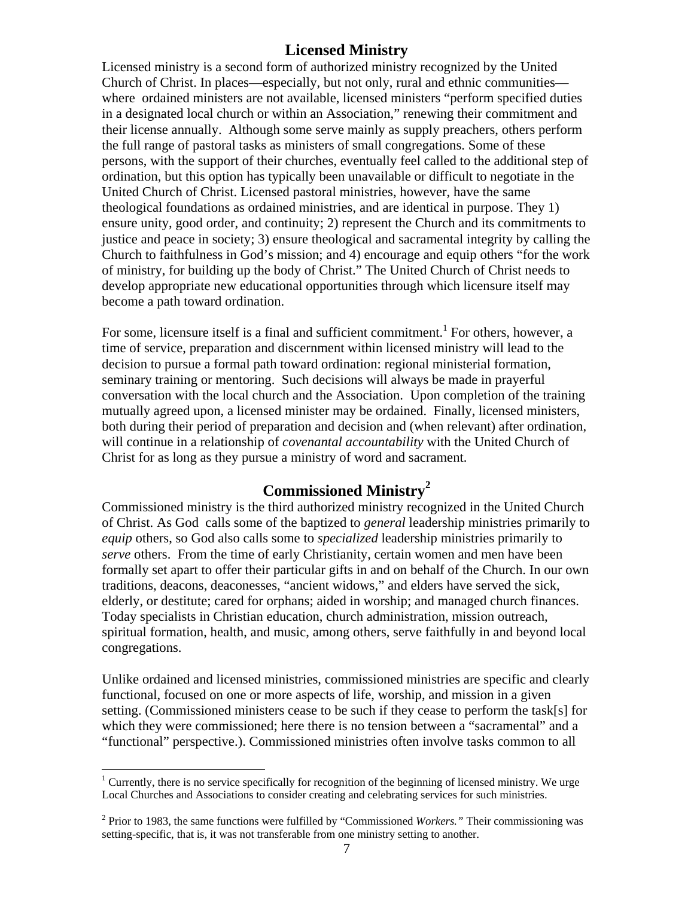## **Licensed Ministry**

Licensed ministry is a second form of authorized ministry recognized by the United Church of Christ. In places—especially, but not only, rural and ethnic communities where ordained ministers are not available, licensed ministers "perform specified duties in a designated local church or within an Association," renewing their commitment and their license annually. Although some serve mainly as supply preachers, others perform the full range of pastoral tasks as ministers of small congregations. Some of these persons, with the support of their churches, eventually feel called to the additional step of ordination, but this option has typically been unavailable or difficult to negotiate in the United Church of Christ. Licensed pastoral ministries, however, have the same theological foundations as ordained ministries, and are identical in purpose. They 1) ensure unity, good order, and continuity; 2) represent the Church and its commitments to justice and peace in society; 3) ensure theological and sacramental integrity by calling the Church to faithfulness in God's mission; and 4) encourage and equip others "for the work of ministry, for building up the body of Christ." The United Church of Christ needs to develop appropriate new educational opportunities through which licensure itself may become a path toward ordination.

For some, licensure itself is a final and sufficient commitment.<sup>[1](#page-6-0)</sup> For others, however, a time of service, preparation and discernment within licensed ministry will lead to the decision to pursue a formal path toward ordination: regional ministerial formation, seminary training or mentoring. Such decisions will always be made in prayerful conversation with the local church and the Association. Upon completion of the training mutually agreed upon, a licensed minister may be ordained. Finally, licensed ministers, both during their period of preparation and decision and (when relevant) after ordination, will continue in a relationship of *covenantal accountability* with the United Church of Christ for as long as they pursue a ministry of word and sacrament.

# **Commissioned Ministry[2](#page-6-1)**

Commissioned ministry is the third authorized ministry recognized in the United Church of Christ. As God calls some of the baptized to *general* leadership ministries primarily to *equip* others, so God also calls some to *specialized* leadership ministries primarily to *serve* others. From the time of early Christianity, certain women and men have been formally set apart to offer their particular gifts in and on behalf of the Church. In our own traditions, deacons, deaconesses, "ancient widows," and elders have served the sick, elderly, or destitute; cared for orphans; aided in worship; and managed church finances. Today specialists in Christian education, church administration, mission outreach, spiritual formation, health, and music, among others, serve faithfully in and beyond local congregations.

Unlike ordained and licensed ministries, commissioned ministries are specific and clearly functional, focused on one or more aspects of life, worship, and mission in a given setting. (Commissioned ministers cease to be such if they cease to perform the task[s] for which they were commissioned; here there is no tension between a "sacramental" and a "functional" perspective.). Commissioned ministries often involve tasks common to all

 $\overline{a}$ 

<span id="page-6-0"></span><sup>&</sup>lt;sup>1</sup> Currently, there is no service specifically for recognition of the beginning of licensed ministry. We urge Local Churches and Associations to consider creating and celebrating services for such ministries.

<span id="page-6-1"></span><sup>2</sup> Prior to 1983, the same functions were fulfilled by "Commissioned *Workers."* Their commissioning was setting-specific, that is, it was not transferable from one ministry setting to another.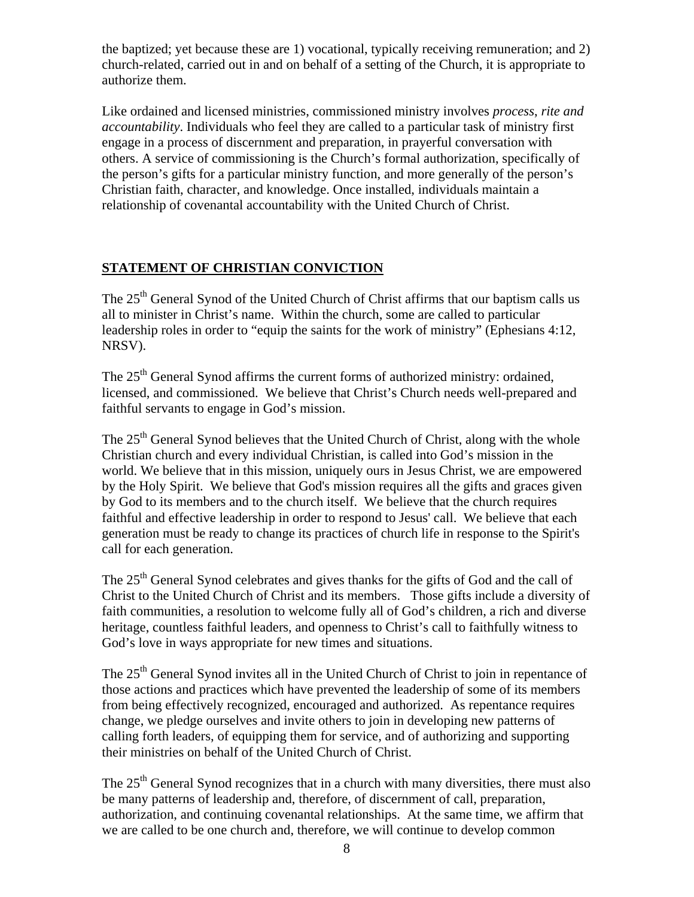the baptized; yet because these are 1) vocational, typically receiving remuneration; and 2) church-related, carried out in and on behalf of a setting of the Church, it is appropriate to authorize them.

Like ordained and licensed ministries, commissioned ministry involves *process*, *rite and accountability*. Individuals who feel they are called to a particular task of ministry first engage in a process of discernment and preparation, in prayerful conversation with others. A service of commissioning is the Church's formal authorization, specifically of the person's gifts for a particular ministry function, and more generally of the person's Christian faith, character, and knowledge. Once installed, individuals maintain a relationship of covenantal accountability with the United Church of Christ.

## **STATEMENT OF CHRISTIAN CONVICTION**

The 25<sup>th</sup> General Synod of the United Church of Christ affirms that our baptism calls us all to minister in Christ's name. Within the church, some are called to particular leadership roles in order to "equip the saints for the work of ministry" (Ephesians 4:12, NRSV).

The 25<sup>th</sup> General Synod affirms the current forms of authorized ministry: ordained, licensed, and commissioned. We believe that Christ's Church needs well-prepared and faithful servants to engage in God's mission.

The 25<sup>th</sup> General Synod believes that the United Church of Christ, along with the whole Christian church and every individual Christian, is called into God's mission in the world. We believe that in this mission, uniquely ours in Jesus Christ, we are empowered by the Holy Spirit. We believe that God's mission requires all the gifts and graces given by God to its members and to the church itself. We believe that the church requires faithful and effective leadership in order to respond to Jesus' call. We believe that each generation must be ready to change its practices of church life in response to the Spirit's call for each generation.

The 25<sup>th</sup> General Synod celebrates and gives thanks for the gifts of God and the call of Christ to the United Church of Christ and its members. Those gifts include a diversity of faith communities, a resolution to welcome fully all of God's children, a rich and diverse heritage, countless faithful leaders, and openness to Christ's call to faithfully witness to God's love in ways appropriate for new times and situations.

The 25<sup>th</sup> General Synod invites all in the United Church of Christ to join in repentance of those actions and practices which have prevented the leadership of some of its members from being effectively recognized, encouraged and authorized. As repentance requires change, we pledge ourselves and invite others to join in developing new patterns of calling forth leaders, of equipping them for service, and of authorizing and supporting their ministries on behalf of the United Church of Christ.

The  $25<sup>th</sup>$  General Synod recognizes that in a church with many diversities, there must also be many patterns of leadership and, therefore, of discernment of call, preparation, authorization, and continuing covenantal relationships. At the same time, we affirm that we are called to be one church and, therefore, we will continue to develop common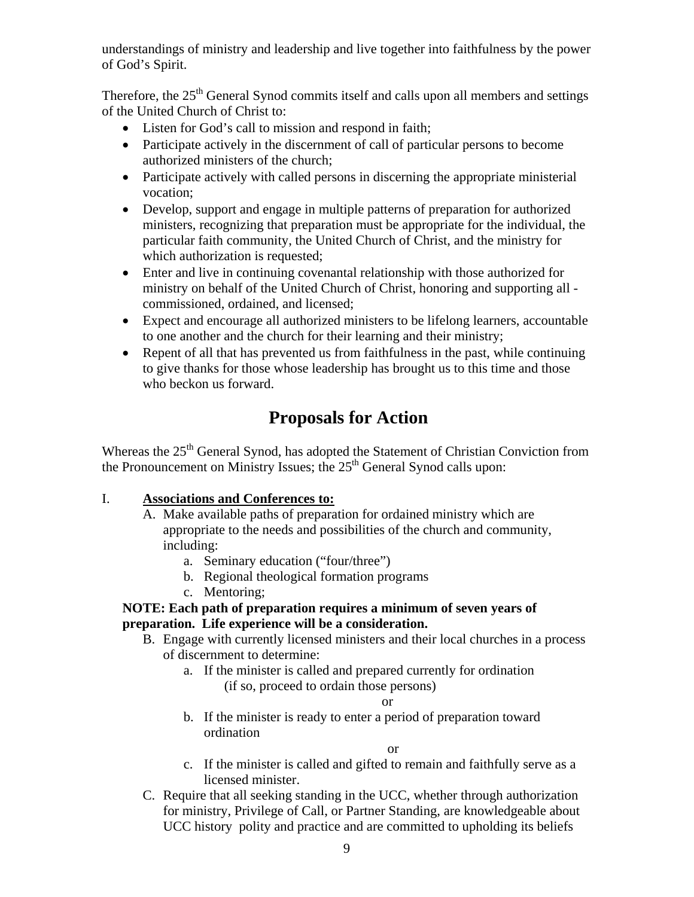understandings of ministry and leadership and live together into faithfulness by the power of God's Spirit.

Therefore, the 25<sup>th</sup> General Synod commits itself and calls upon all members and settings of the United Church of Christ to:

- Listen for God's call to mission and respond in faith;
- Participate actively in the discernment of call of particular persons to become authorized ministers of the church;
- Participate actively with called persons in discerning the appropriate ministerial vocation;
- Develop, support and engage in multiple patterns of preparation for authorized ministers, recognizing that preparation must be appropriate for the individual, the particular faith community, the United Church of Christ, and the ministry for which authorization is requested;
- Enter and live in continuing covenantal relationship with those authorized for ministry on behalf of the United Church of Christ, honoring and supporting all commissioned, ordained, and licensed;
- Expect and encourage all authorized ministers to be lifelong learners, accountable to one another and the church for their learning and their ministry;
- Repent of all that has prevented us from faithfulness in the past, while continuing to give thanks for those whose leadership has brought us to this time and those who beckon us forward.

# **Proposals for Action**

Whereas the 25<sup>th</sup> General Synod, has adopted the Statement of Christian Conviction from the Pronouncement on Ministry Issues; the  $25<sup>th</sup>$  General Synod calls upon:

## I. **Associations and Conferences to:**

- A. Make available paths of preparation for ordained ministry which are appropriate to the needs and possibilities of the church and community, including:
	- a. Seminary education ("four/three")
	- b. Regional theological formation programs
	- c. Mentoring;

## **NOTE: Each path of preparation requires a minimum of seven years of preparation. Life experience will be a consideration.**

- B. Engage with currently licensed ministers and their local churches in a process of discernment to determine:
	- a. If the minister is called and prepared currently for ordination (if so, proceed to ordain those persons)

or

b. If the minister is ready to enter a period of preparation toward ordination

or

- c. If the minister is called and gifted to remain and faithfully serve as a licensed minister.
- C. Require that all seeking standing in the UCC, whether through authorization for ministry, Privilege of Call, or Partner Standing, are knowledgeable about UCC history polity and practice and are committed to upholding its beliefs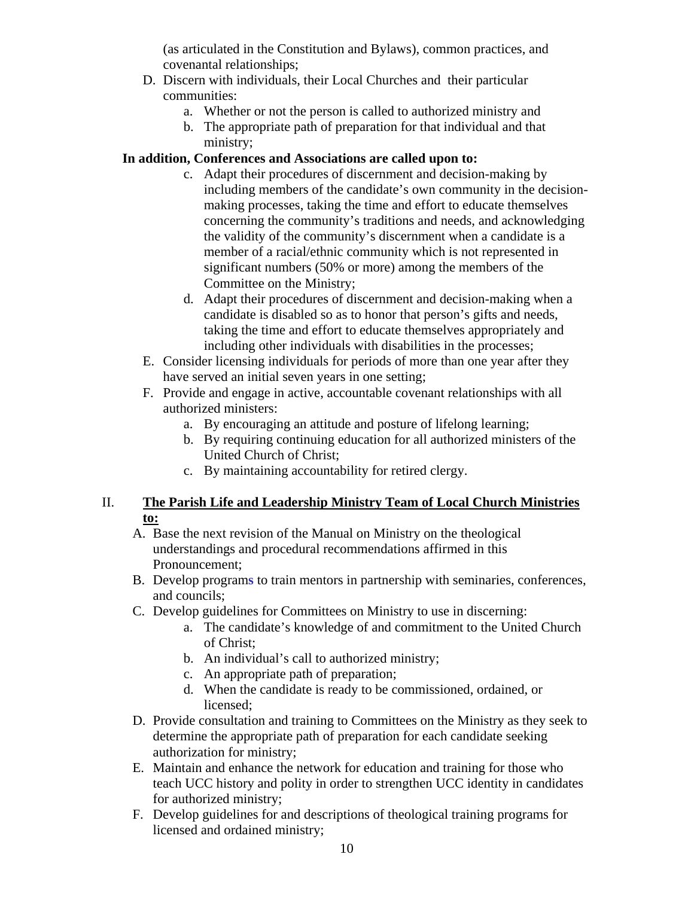(as articulated in the Constitution and Bylaws), common practices, and covenantal relationships;

- D. Discern with individuals, their Local Churches and their particular communities:
	- a. Whether or not the person is called to authorized ministry and
	- b. The appropriate path of preparation for that individual and that ministry;

## **In addition, Conferences and Associations are called upon to:**

- c. Adapt their procedures of discernment and decision-making by including members of the candidate's own community in the decisionmaking processes, taking the time and effort to educate themselves concerning the community's traditions and needs, and acknowledging the validity of the community's discernment when a candidate is a member of a racial/ethnic community which is not represented in significant numbers (50% or more) among the members of the Committee on the Ministry;
- d. Adapt their procedures of discernment and decision-making when a candidate is disabled so as to honor that person's gifts and needs, taking the time and effort to educate themselves appropriately and including other individuals with disabilities in the processes;
- E. Consider licensing individuals for periods of more than one year after they have served an initial seven years in one setting;
- F. Provide and engage in active, accountable covenant relationships with all authorized ministers:
	- a. By encouraging an attitude and posture of lifelong learning;
	- b. By requiring continuing education for all authorized ministers of the United Church of Christ;
	- c. By maintaining accountability for retired clergy.

## II. **The Parish Life and Leadership Ministry Team of Local Church Ministries to:**

- A. Base the next revision of the Manual on Ministry on the theological understandings and procedural recommendations affirmed in this Pronouncement;
- B. Develop program**s** to train mentors in partnership with seminaries, conferences, and councils;
- C. Develop guidelines for Committees on Ministry to use in discerning:
	- a. The candidate's knowledge of and commitment to the United Church of Christ;
	- b. An individual's call to authorized ministry;
	- c. An appropriate path of preparation;
	- d. When the candidate is ready to be commissioned, ordained, or licensed;
- D. Provide consultation and training to Committees on the Ministry as they seek to determine the appropriate path of preparation for each candidate seeking authorization for ministry;
- E. Maintain and enhance the network for education and training for those who teach UCC history and polity in order to strengthen UCC identity in candidates for authorized ministry;
- F. Develop guidelines for and descriptions of theological training programs for licensed and ordained ministry;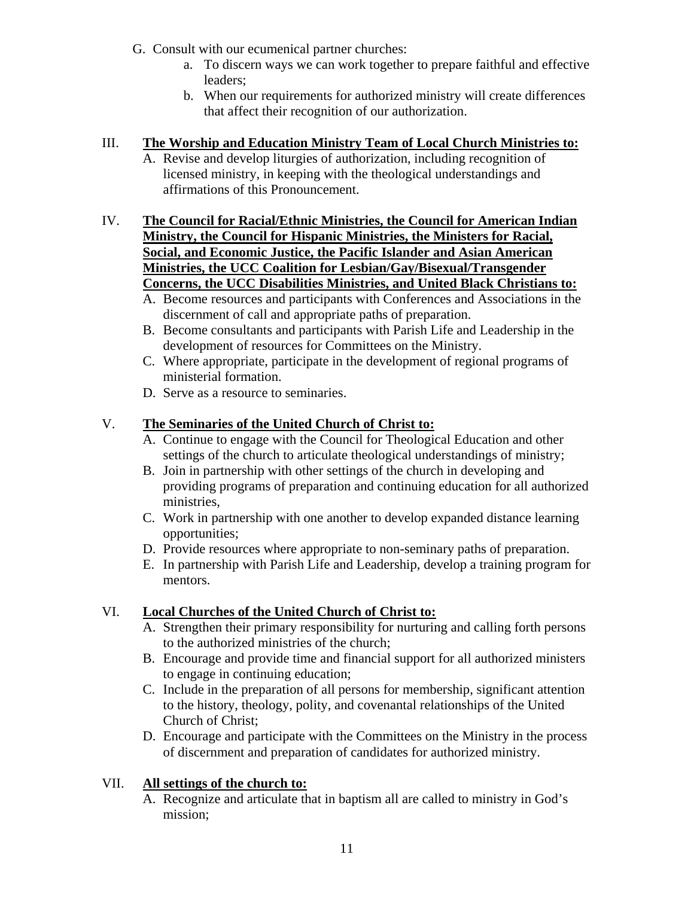- G. Consult with our ecumenical partner churches:
	- a. To discern ways we can work together to prepare faithful and effective leaders;
	- b. When our requirements for authorized ministry will create differences that affect their recognition of our authorization.

### III. **The Worship and Education Ministry Team of Local Church Ministries to:**

- A. Revise and develop liturgies of authorization, including recognition of licensed ministry, in keeping with the theological understandings and affirmations of this Pronouncement.
- IV. **The Council for Racial/Ethnic Ministries, the Council for American Indian Ministry, the Council for Hispanic Ministries, the Ministers for Racial, Social, and Economic Justice, the Pacific Islander and Asian American Ministries, the UCC Coalition for Lesbian/Gay/Bisexual/Transgender Concerns, the UCC Disabilities Ministries, and United Black Christians to:**
	- A. Become resources and participants with Conferences and Associations in the discernment of call and appropriate paths of preparation.
	- B. Become consultants and participants with Parish Life and Leadership in the development of resources for Committees on the Ministry.
	- C. Where appropriate, participate in the development of regional programs of ministerial formation.
	- D. Serve as a resource to seminaries.

## V. **The Seminaries of the United Church of Christ to:**

- A. Continue to engage with the Council for Theological Education and other settings of the church to articulate theological understandings of ministry;
- B. Join in partnership with other settings of the church in developing and providing programs of preparation and continuing education for all authorized ministries,
- C. Work in partnership with one another to develop expanded distance learning opportunities;
- D. Provide resources where appropriate to non-seminary paths of preparation.
- E. In partnership with Parish Life and Leadership, develop a training program for mentors.

## VI. **Local Churches of the United Church of Christ to:**

- A. Strengthen their primary responsibility for nurturing and calling forth persons to the authorized ministries of the church;
- B. Encourage and provide time and financial support for all authorized ministers to engage in continuing education;
- C. Include in the preparation of all persons for membership, significant attention to the history, theology, polity, and covenantal relationships of the United Church of Christ;
- D. Encourage and participate with the Committees on the Ministry in the process of discernment and preparation of candidates for authorized ministry.

### VII. **All settings of the church to:**

A. Recognize and articulate that in baptism all are called to ministry in God's mission;